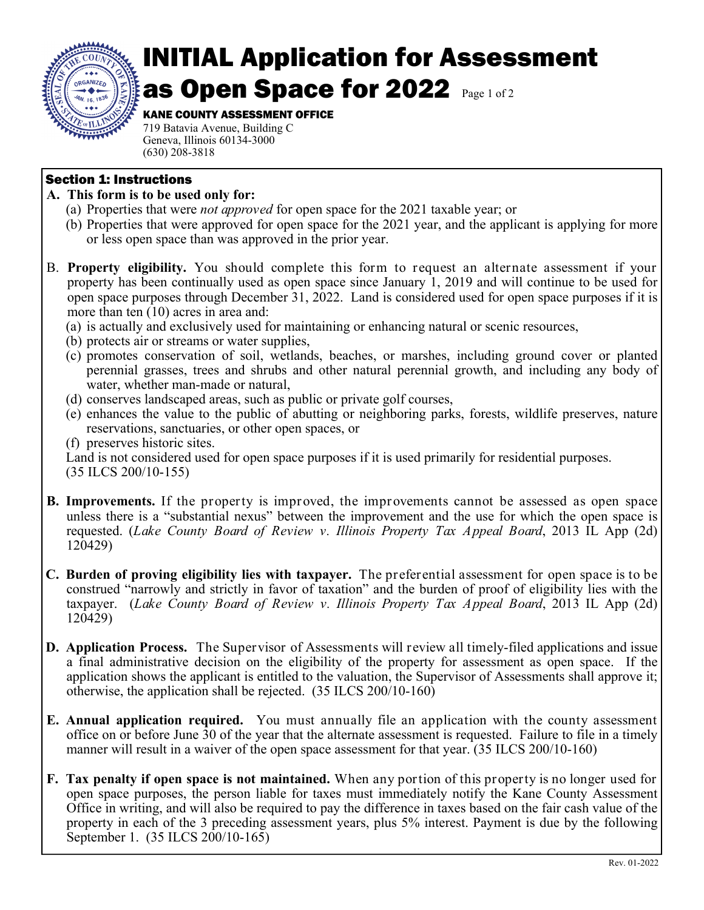

## INITIAL Application for Assessment as Open Space for 2022 Page 1 of 2

## KANE COUNTY ASSESSMENT OFFICE

719 Batavia Avenue, Building C Geneva, Illinois 60134-3000 (630) 208-3818

## Section 1: Instructions

- **A. This form is to be used only for:** 
	- (a) Properties that were *not approved* for open space for the 2021 taxable year; or
	- (b) Properties that were approved for open space for the 2021 year, and the applicant is applying for more or less open space than was approved in the prior year.
- B. **Property eligibility.** You should complete this form to request an alternate assessment if your property has been continually used as open space since January 1, 2019 and will continue to be used for open space purposes through December 31, 2022. Land is considered used for open space purposes if it is more than ten (10) acres in area and:
	- (a) is actually and exclusively used for maintaining or enhancing natural or scenic resources,
	- (b) protects air or streams or water supplies,
	- (c) promotes conservation of soil, wetlands, beaches, or marshes, including ground cover or planted perennial grasses, trees and shrubs and other natural perennial growth, and including any body of water, whether man-made or natural,
	- (d) conserves landscaped areas, such as public or private golf courses,
	- (e) enhances the value to the public of abutting or neighboring parks, forests, wildlife preserves, nature reservations, sanctuaries, or other open spaces, or
	- (f) preserves historic sites.

Land is not considered used for open space purposes if it is used primarily for residential purposes. (35 ILCS 200/10-155)

- **B. Improvements.** If the property is improved, the improvements cannot be assessed as open space unless there is a "substantial nexus" between the improvement and the use for which the open space is requested. (*Lake County Board of Review v. Illinois Property Tax Appeal Board*, 2013 IL App (2d) 120429)
- **C. Burden of proving eligibility lies with taxpayer.** The preferential assessment for open space is to be construed "narrowly and strictly in favor of taxation" and the burden of proof of eligibility lies with the taxpayer. (*Lake County Board of Review v. Illinois Property Tax Appeal Board*, 2013 IL App (2d) 120429)
- **D. Application Process.** The Supervisor of Assessments will review all timely-filed applications and issue a final administrative decision on the eligibility of the property for assessment as open space. If the application shows the applicant is entitled to the valuation, the Supervisor of Assessments shall approve it; otherwise, the application shall be rejected. (35 ILCS 200/10-160)
- **E. Annual application required.** You must annually file an application with the county assessment office on or before June 30 of the year that the alternate assessment is requested. Failure to file in a timely manner will result in a waiver of the open space assessment for that year. (35 ILCS 200/10-160)
- **F. Tax penalty if open space is not maintained.** When any portion of this property is no longer used for open space purposes, the person liable for taxes must immediately notify the Kane County Assessment Office in writing, and will also be required to pay the difference in taxes based on the fair cash value of the property in each of the 3 preceding assessment years, plus 5% interest. Payment is due by the following September 1. (35 ILCS 200/10-165)